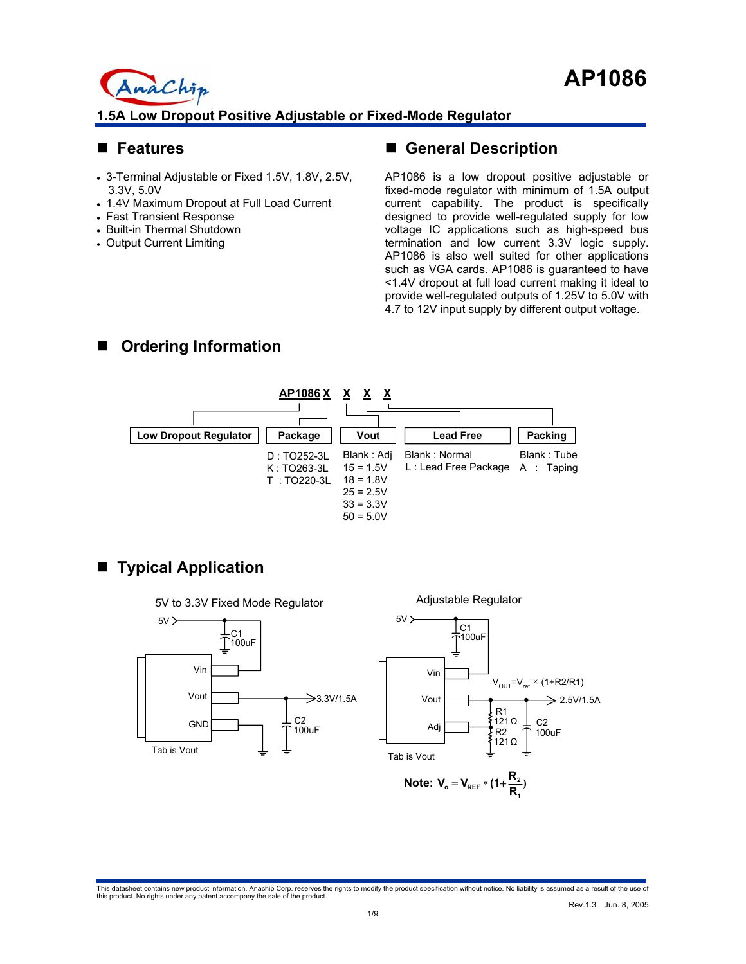### **Features**

- 3-Terminal Adjustable or Fixed 1.5V, 1.8V, 2.5V, 3.3V, 5.0V
- 1.4V Maximum Dropout at Full Load Current
- Fast Transient Response

naChip

- Built-in Thermal Shutdown
- Output Current Limiting

## **General Description**

AP1086 is a low dropout positive adjustable or fixed-mode regulator with minimum of 1.5A output current capability. The product is specifically designed to provide well-regulated supply for low voltage IC applications such as high-speed bus termination and low current 3.3V logic supply. AP1086 is also well suited for other applications such as VGA cards. AP1086 is guaranteed to have <1.4V dropout at full load current making it ideal to provide well-regulated outputs of 1.25V to 5.0V with 4.7 to 12V input supply by different output voltage.

# **Ordering Information**



# ■ Typical Application



This datasheet contains new product information. Anachip Corp. reserves the rights to modify the product specification without notice. No liability is assumed as a result of the use of<br>this product. No rights under any pat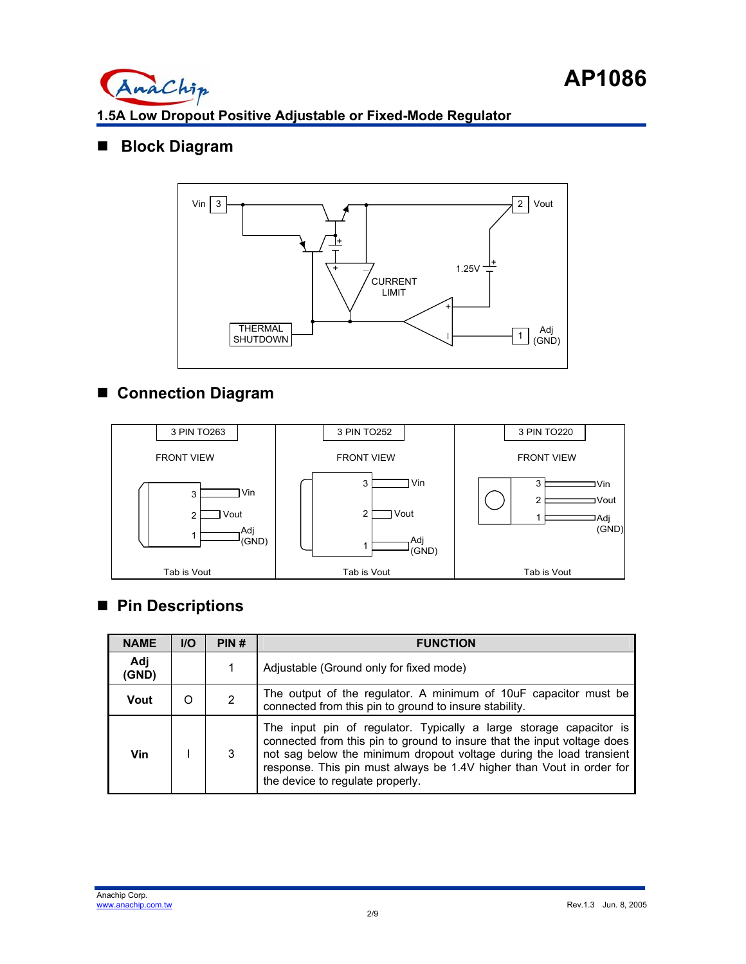

## **Block Diagram**



# **Connection Diagram**



# ■ Pin Descriptions

| <b>NAME</b>  | <b>I/O</b> | PIN# | <b>FUNCTION</b>                                                                                                                                                                                                                                                                                                                  |
|--------------|------------|------|----------------------------------------------------------------------------------------------------------------------------------------------------------------------------------------------------------------------------------------------------------------------------------------------------------------------------------|
| Adj<br>(GND) |            |      | Adjustable (Ground only for fixed mode)                                                                                                                                                                                                                                                                                          |
| Vout         |            | 2    | The output of the regulator. A minimum of 10uF capacitor must be<br>connected from this pin to ground to insure stability.                                                                                                                                                                                                       |
| Vin          |            | 3    | The input pin of regulator. Typically a large storage capacitor is<br>connected from this pin to ground to insure that the input voltage does<br>not sag below the minimum dropout voltage during the load transient<br>response. This pin must always be 1.4V higher than Vout in order for<br>the device to regulate properly. |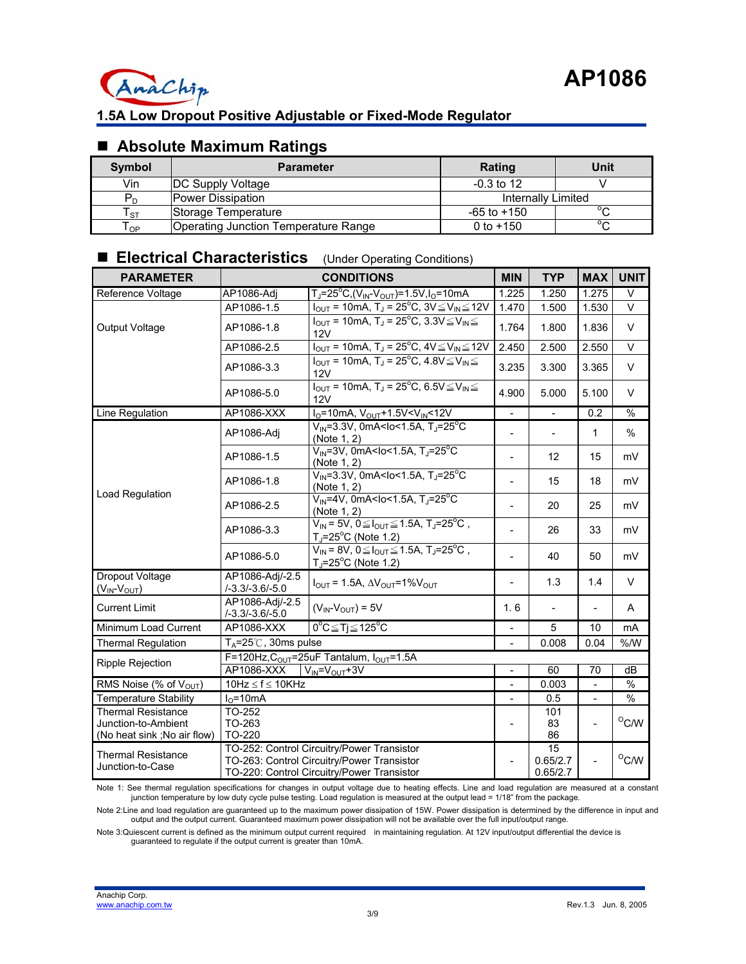

## **Absolute Maximum Ratings**

| <b>Symbol</b> | <b>Parameter</b>                     | Rating             | Unit   |
|---------------|--------------------------------------|--------------------|--------|
| Vin           | <b>DC Supply Voltage</b>             | $-0.3$ to 12       |        |
| $P_{\cap}$    | Power Dissipation                    | Internally Limited |        |
| l st          | Storage Temperature                  | -65 to +150        | $\sim$ |
| l op          | Operating Junction Temperature Range | 0 to $+150$        | $\sim$ |

## **Electrical Characteristics** (Under Operating Conditions)

| <b>PARAMETER</b>                                                                | <b>CONDITIONS</b>                                  |                                                                                                                                        |                          | <b>TYP</b>      | <b>MAX</b>     | <b>UNIT</b>    |
|---------------------------------------------------------------------------------|----------------------------------------------------|----------------------------------------------------------------------------------------------------------------------------------------|--------------------------|-----------------|----------------|----------------|
| Reference Voltage                                                               | AP1086-Adj                                         | Т」=25°С,(V <sub>IN</sub> -V <sub>OUT</sub> )=1.5V,I <sub>O</sub> =10mA                                                                 | 1.225                    | 1.250           | 1.275          | V              |
|                                                                                 | AP1086-1.5                                         | $I_{OUT} = 10mA$ , T <sub>J</sub> = $25^{\circ}C$ , 3V $\leq$ V <sub>IN</sub> $\leq$ 12V                                               | 1.470                    | 1.500           | 1.530          | $\vee$         |
| Output Voltage                                                                  | AP1086-1.8                                         | $I_{\text{OUT}}$ = 10mA, T <sub>J</sub> = 25 <sup>o</sup> C, 3.3V $\leq$ V <sub>IN</sub> $\leq$<br>12V                                 | 1.764                    | 1.800           | 1.836          | $\sf V$        |
|                                                                                 | AP1086-2.5                                         | $I_{OUT}$ = 10mA, T <sub>J</sub> = 25 <sup>o</sup> C, 4V $\leq$ V <sub>IN</sub> $\leq$ 12V                                             | 2.450                    | 2.500           | 2.550          | $\vee$         |
|                                                                                 | AP1086-3.3                                         | $I_{\text{OUT}}$ = 10mA, T <sub>J</sub> = 25 <sup>o</sup> C, 4.8V $\leq$ V <sub>IN</sub> $\leq$<br>12V                                 | 3.235                    | 3.300           | 3.365          | V              |
|                                                                                 | AP1086-5.0                                         | $I_{\text{OUT}}$ = 10mA, T <sub>J</sub> = 25 <sup>o</sup> C, 6.5V $\leq$ V <sub>IN</sub> $\leq$<br>12V                                 | 4.900                    | 5.000           | 5.100          | V              |
| Line Regulation                                                                 | AP1086-XXX                                         | $I_0$ =10mA, $V_{OUT}$ +1.5V< $V_{IN}$ <12V                                                                                            | $\blacksquare$           | $\blacksquare$  | 0.2            | $\frac{9}{6}$  |
|                                                                                 | AP1086-Adj                                         | $V_{IN} = 3.3V$ , 0mA <lo<1.5a, t<sub="">J=25<sup>°</sup>C<br/>(Note 1, 2)</lo<1.5a,>                                                  | $\overline{\phantom{a}}$ |                 | 1              | $\%$           |
|                                                                                 | AP1086-1.5                                         | $V_{IN}$ =3V, 0mA <lo<1.5a, t<sub="">J=25<sup>°</sup>C<br/>(Note 1, 2)</lo<1.5a,>                                                      | $\blacksquare$           | 12              | 15             | mV             |
|                                                                                 | AP1086-1.8                                         | $V_{\text{IN}} = 3.3V, 0 \text{mA} < 1.5A, T_J = 25^{\circ}C$<br>(Note 1, 2)                                                           | $\blacksquare$           | 15              | 18             | mV             |
| Load Regulation                                                                 | AP1086-2.5                                         | $V_{IN}$ =4V, 0mA <lo<1.5a, t<sub="">J=25<sup>°</sup>C<br/>(Note 1, 2)</lo<1.5a,>                                                      | $\blacksquare$           | 20              | 25             | mV             |
|                                                                                 | AP1086-3.3                                         | $V_{IN} = 5V$ , $0 \leq I_{OUT} \leq 1.5A$ , $T_J = 25^{\circ}C$ ,<br>$T_J = 25^{\circ}C$ (Note 1.2)                                   | $\blacksquare$           | 26              | 33             | mV             |
|                                                                                 | AP1086-5.0                                         | $V_{IN}$ = 8V, $0 \leq I_{OUT} \leq 1.5$ A, T <sub>J</sub> =25 <sup>o</sup> C,<br>$T_{J}$ =25°C (Note 1.2)                             | $\blacksquare$           | 40              | 50             | mV             |
| Dropout Voltage<br>$(V_{IN}$ - $V_{OUT})$                                       | AP1086-Adj/-2.5<br>$1 - 3.31 - 3.61 - 5.0$         | $I_{\text{OUT}} = 1.5A$ , $\Delta V_{\text{OUT}} = 1\%V_{\text{OUT}}$                                                                  | $\overline{a}$           | 1.3             | 1.4            | V              |
| <b>Current Limit</b>                                                            | AP1086-Adi/-2.5<br>$1 - 3.31 - 3.61 - 5.0$         | $(V_{IN} - V_{OUT}) = 5V$                                                                                                              | 1.6                      |                 |                | Α              |
| Minimum Load Current                                                            | AP1086-XXX                                         | $0^{\circ}C \leq Tj \leq 125^{\circ}C$                                                                                                 |                          | 5               | 10             | mA             |
| <b>Thermal Regulation</b>                                                       | $T_A = 25^\circ\text{C}$ , 30ms pulse              |                                                                                                                                        |                          | 0.008           | 0.04           | % /W           |
| <b>Ripple Rejection</b>                                                         | F=120Hz, $C_{OUT}$ =25uF Tantalum, $I_{OUT}$ =1.5A |                                                                                                                                        |                          |                 |                |                |
|                                                                                 | AP1086-XXX<br>$V_{IN} = V_{OUT} + 3V$              |                                                                                                                                        |                          | 60              | 70             | dB             |
| RMS Noise (% of $V_{\text{OUT}}$ )                                              | $10$ Hz $\leq f \leq 10$ KHz                       |                                                                                                                                        | $\overline{a}$           | 0.003           |                | $\frac{0}{0}$  |
| <b>Temperature Stability</b>                                                    | $IO=10mA$                                          |                                                                                                                                        |                          | 0.5             |                | $\frac{1}{6}$  |
| <b>Thermal Resistance</b><br>Junction-to-Ambient<br>(No heat sink; No air flow) | TO-252<br>TO-263<br>TO-220                         |                                                                                                                                        |                          | 101<br>83<br>86 | $\overline{a}$ | $^{\circ}$ C/W |
| <b>Thermal Resistance</b><br>Junction-to-Case                                   |                                                    | TO-252: Control Circuitry/Power Transistor<br>TO-263: Control Circuitry/Power Transistor<br>TO-220: Control Circuitry/Power Transistor |                          |                 |                | $^{\circ}$ C/W |

Note 1: See thermal regulation specifications for changes in output voltage due to heating effects. Line and load regulation are measured at a constant<br>junction temperature by low duty cycle pulse testing. Load regulation

Note 2:Line and load regulation are guaranteed up to the maximum power dissipation of 15W. Power dissipation is determined by the difference in input and output and the output current. Guaranteed maximum power dissipation will not be available over the full input/output range.

Note 3:Quiescent current is defined as the minimum output current required in maintaining regulation. At 12V input/output differential the device is guaranteed to regulate if the output current is greater than 10mA.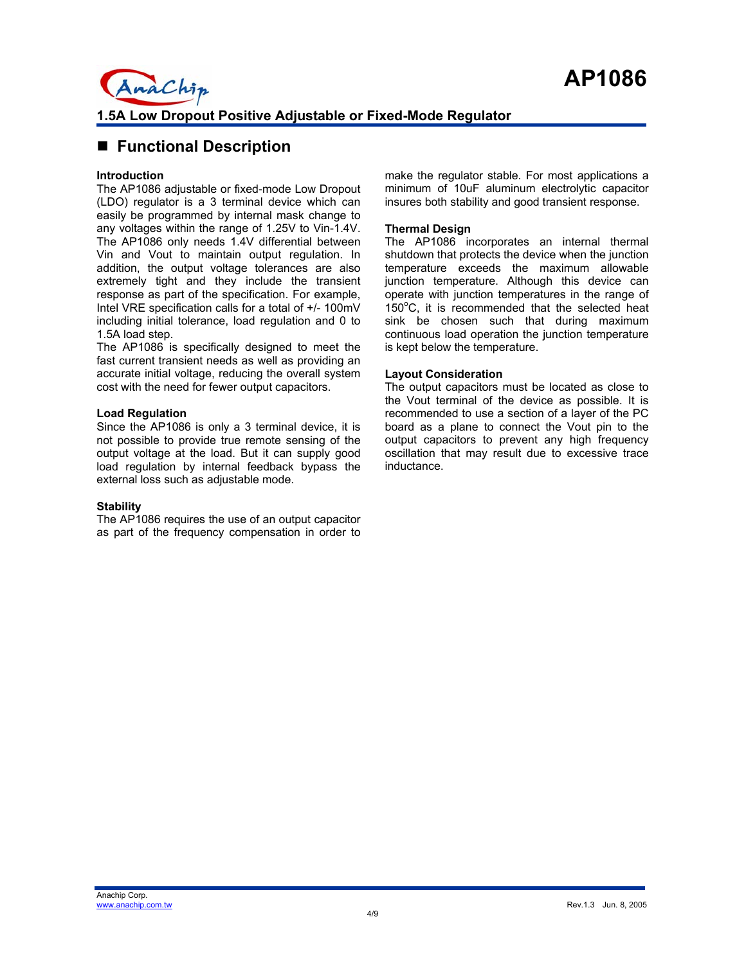## ■ Functional Description

AnaChip

#### **Introduction**

The AP1086 adjustable or fixed-mode Low Dropout (LDO) regulator is a 3 terminal device which can easily be programmed by internal mask change to any voltages within the range of 1.25V to Vin-1.4V. The AP1086 only needs 1.4V differential between Vin and Vout to maintain output regulation. In addition, the output voltage tolerances are also extremely tight and they include the transient response as part of the specification. For example, Intel VRE specification calls for a total of +/- 100mV including initial tolerance, load regulation and 0 to 1.5A load step.

The AP1086 is specifically designed to meet the fast current transient needs as well as providing an accurate initial voltage, reducing the overall system cost with the need for fewer output capacitors.

#### **Load Regulation**

Since the AP1086 is only a 3 terminal device, it is not possible to provide true remote sensing of the output voltage at the load. But it can supply good load regulation by internal feedback bypass the external loss such as adjustable mode.

#### **Stability**

The AP1086 requires the use of an output capacitor as part of the frequency compensation in order to make the regulator stable. For most applications a minimum of 10uF aluminum electrolytic capacitor insures both stability and good transient response.

#### **Thermal Design**

The AP1086 incorporates an internal thermal shutdown that protects the device when the junction temperature exceeds the maximum allowable junction temperature. Although this device can operate with junction temperatures in the range of 150°C, it is recommended that the selected heat sink be chosen such that during maximum continuous load operation the junction temperature is kept below the temperature.

#### **Layout Consideration**

The output capacitors must be located as close to the Vout terminal of the device as possible. It is recommended to use a section of a layer of the PC board as a plane to connect the Vout pin to the output capacitors to prevent any high frequency oscillation that may result due to excessive trace inductance.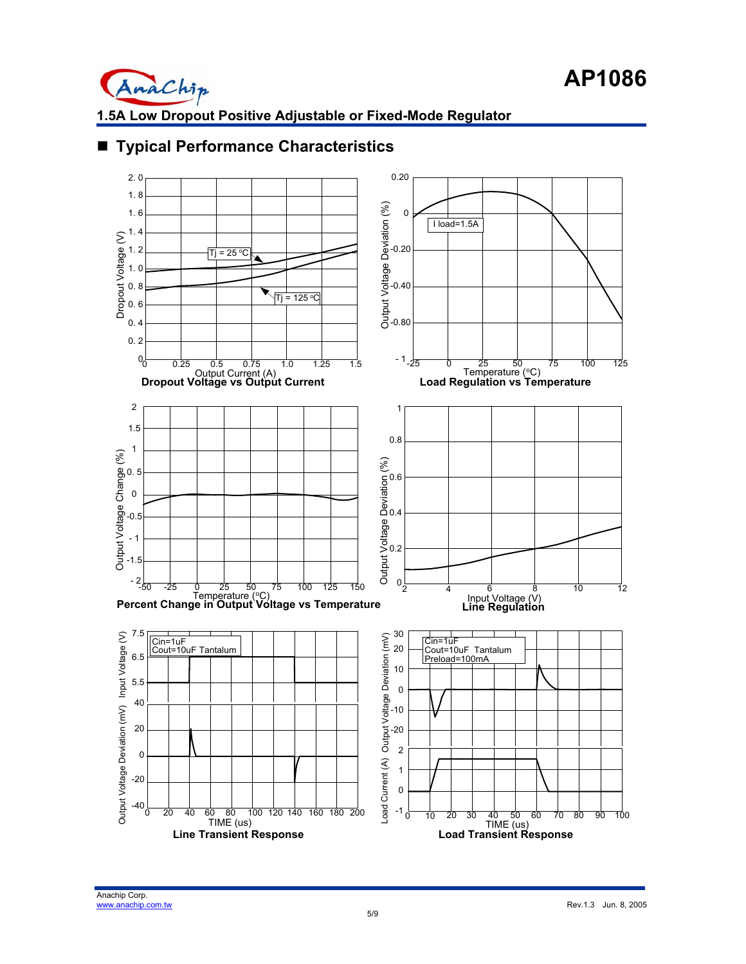



## ■ **Typical Performance Characteristics**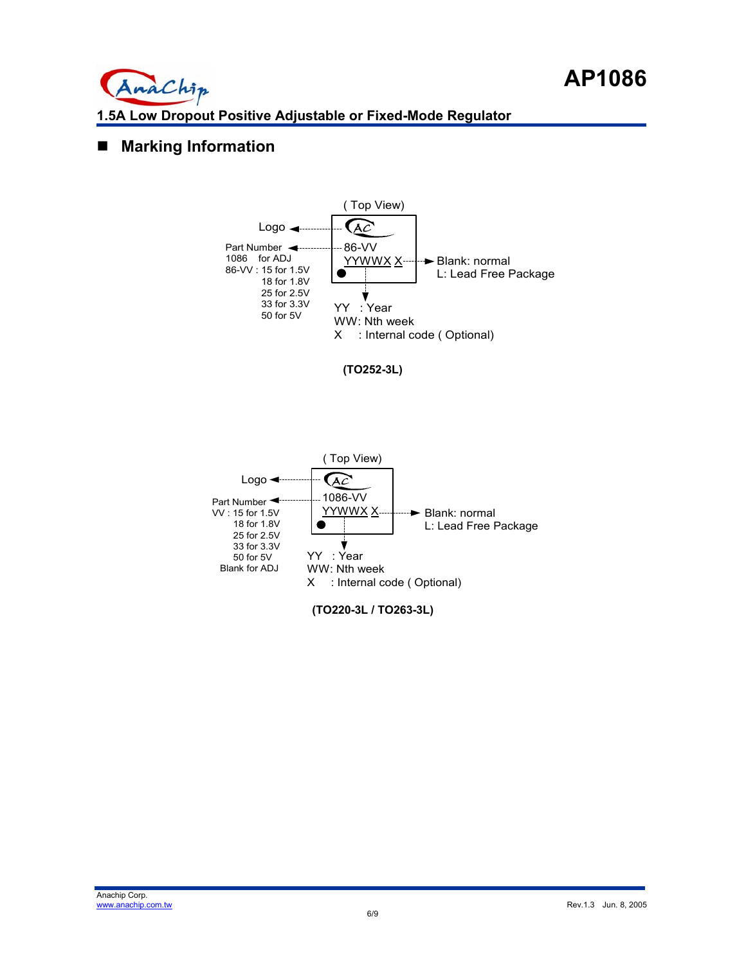

## **Marking Information**







**(TO220-3L / TO263-3L)**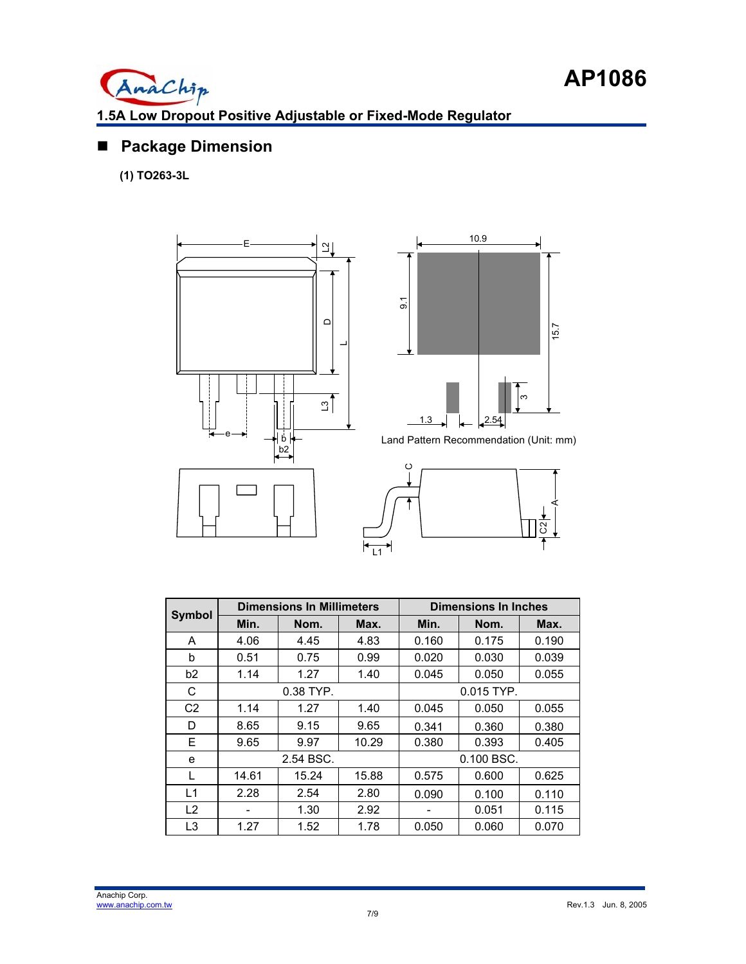

## **Package Dimension**

**(1) TO263-3L** 





Land Pattern Recommendation (Unit: mm)



| <b>Symbol</b>  |       | <b>Dimensions In Millimeters</b> |       | <b>Dimensions In Inches</b> |       |       |
|----------------|-------|----------------------------------|-------|-----------------------------|-------|-------|
|                | Min.  | Nom.                             | Max.  | Min.                        | Nom.  | Max.  |
| A              | 4.06  | 4.45                             | 4.83  | 0.160                       | 0.175 | 0.190 |
| b              | 0.51  | 0.75                             | 0.99  | 0.020                       | 0.030 | 0.039 |
| b2             | 1.14  | 1.27                             | 1.40  | 0.045                       | 0.050 | 0.055 |
| C              |       | 0.38 TYP.                        |       | 0.015 TYP.                  |       |       |
| C <sub>2</sub> | 1.14  | 1.27                             | 1.40  | 0.045                       | 0.050 | 0.055 |
| D              | 8.65  | 9.15                             | 9.65  | 0.341                       | 0.360 | 0.380 |
| Е              | 9.65  | 9.97                             | 10.29 | 0.380                       | 0.393 | 0.405 |
| е              |       | 2.54 BSC.                        |       | 0.100 BSC.                  |       |       |
| L              | 14.61 | 15.24                            | 15.88 | 0.575                       | 0.600 | 0.625 |
| L1             | 2.28  | 2.54                             | 2.80  | 0.090                       | 0.100 | 0.110 |
| L2             |       | 1.30                             | 2.92  |                             | 0.051 | 0.115 |
| L3             | 1.27  | 1.52                             | 1.78  | 0.050                       | 0.060 | 0.070 |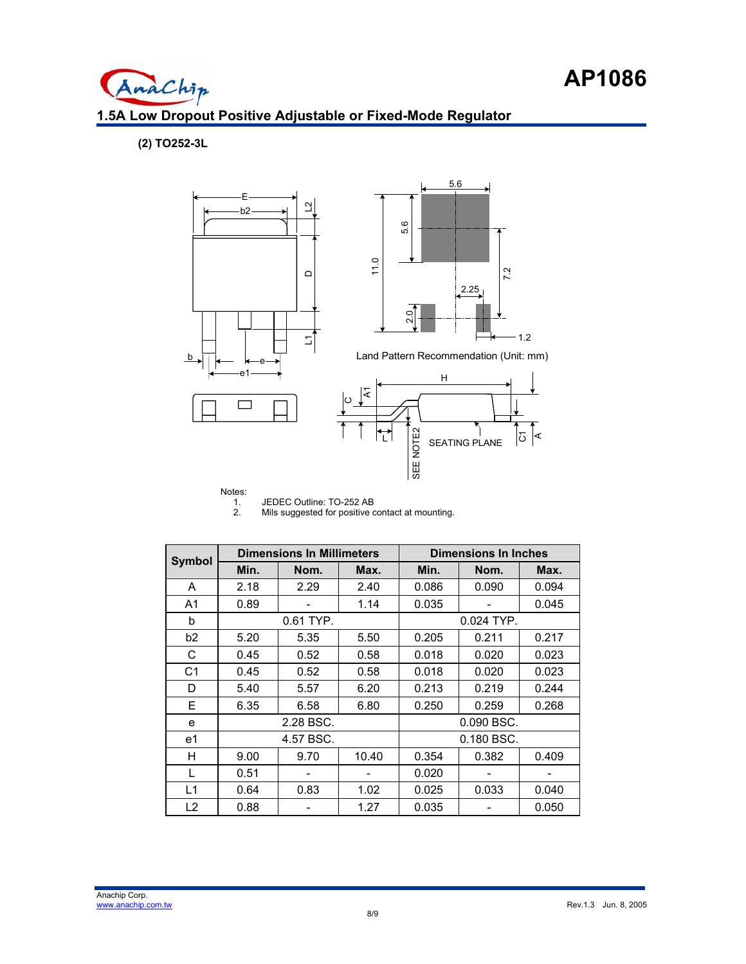**(2) TO252-3L**

AnaChip



# Notes:<br> $\begin{array}{c} 1. \\ 2. \end{array}$

JEDEC Outline: TO-252 AB

Mils suggested for positive contact at mounting.

| <b>Symbol</b>  | <b>Dimensions In Millimeters</b> |           |       | <b>Dimensions In Inches</b> |       |       |
|----------------|----------------------------------|-----------|-------|-----------------------------|-------|-------|
|                | Min.                             | Nom.      | Max.  | Min.                        | Nom.  | Max.  |
| A              | 2.18                             | 2.29      | 2.40  | 0.086                       | 0.090 | 0.094 |
| A <sub>1</sub> | 0.89                             |           | 1.14  | 0.035                       |       | 0.045 |
| b              |                                  | 0.61 TYP. |       | 0.024 TYP.                  |       |       |
| b <sub>2</sub> | 5.20                             | 5.35      | 5.50  | 0.205                       | 0.211 | 0.217 |
| С              | 0.45                             | 0.52      | 0.58  | 0.018                       | 0.020 | 0.023 |
| C <sub>1</sub> | 0.45                             | 0.52      | 0.58  | 0.018                       | 0.020 | 0.023 |
| D              | 5.40                             | 5.57      | 6.20  | 0.213                       | 0.219 | 0.244 |
| F              | 6.35                             | 6.58      | 6.80  | 0.250                       | 0.259 | 0.268 |
| e              |                                  | 2.28 BSC. |       | 0.090 BSC.                  |       |       |
| e1             | 4.57 BSC.                        |           |       | 0.180 BSC.                  |       |       |
| н              | 9.00                             | 9.70      | 10.40 | 0.354                       | 0.382 | 0.409 |
|                | 0.51                             |           |       | 0.020                       |       |       |
| L1             | 0.64                             | 0.83      | 1.02  | 0.025                       | 0.033 | 0.040 |
| L2             | 0.88                             |           | 1.27  | 0.035                       |       | 0.050 |